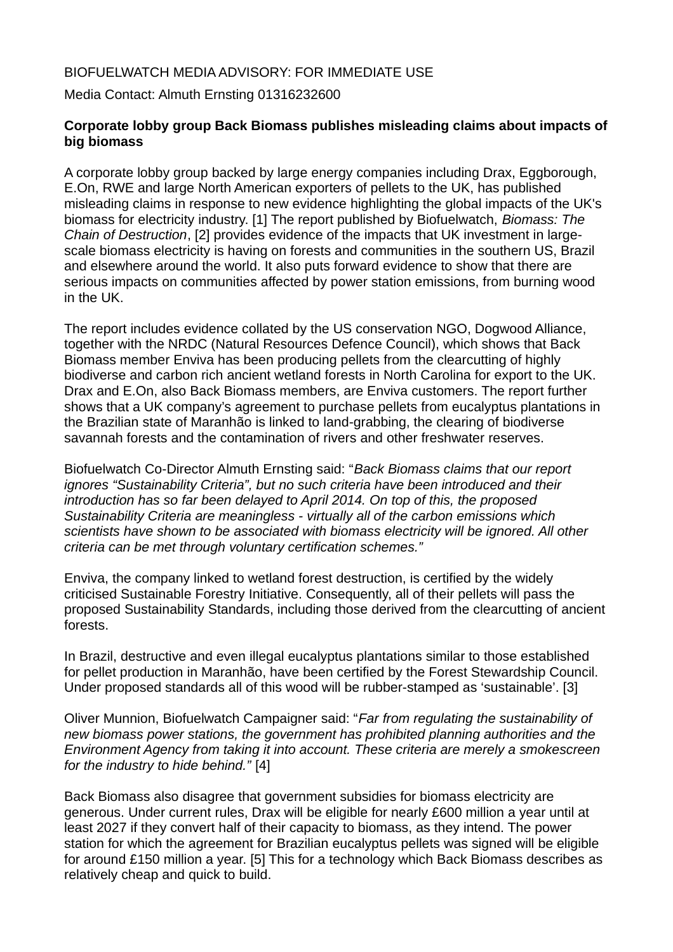## BIOFUELWATCH MEDIA ADVISORY: FOR IMMEDIATE USE

Media Contact: Almuth Ernsting 01316232600

## **Corporate lobby group Back Biomass publishes misleading claims about impacts of big biomass**

A corporate lobby group backed by large energy companies including Drax, Eggborough, E.On, RWE and large North American exporters of pellets to the UK, has published misleading claims in response to new evidence highlighting the global impacts of the UK's biomass for electricity industry. [1] The report published by Biofuelwatch, *Biomass: The Chain of Destruction*, [2] provides evidence of the impacts that UK investment in largescale biomass electricity is having on forests and communities in the southern US, Brazil and elsewhere around the world. It also puts forward evidence to show that there are serious impacts on communities affected by power station emissions, from burning wood in the UK.

The report includes evidence collated by the US conservation NGO, Dogwood Alliance, together with the NRDC (Natural Resources Defence Council), which shows that Back Biomass member Enviva has been producing pellets from the clearcutting of highly biodiverse and carbon rich ancient wetland forests in North Carolina for export to the UK. Drax and E.On, also Back Biomass members, are Enviva customers. The report further shows that a UK company's agreement to purchase pellets from eucalyptus plantations in the Brazilian state of Maranhão is linked to land-grabbing, the clearing of biodiverse savannah forests and the contamination of rivers and other freshwater reserves.

Biofuelwatch Co-Director Almuth Ernsting said: "*Back Biomass claims that our report ignores "Sustainability Criteria", but no such criteria have been introduced and their introduction has so far been delayed to April 2014. On top of this, the proposed Sustainability Criteria are meaningless - virtually all of the carbon emissions which scientists have shown to be associated with biomass electricity will be ignored. All other criteria can be met through voluntary certification schemes."* 

Enviva, the company linked to wetland forest destruction, is certified by the widely criticised Sustainable Forestry Initiative. Consequently, all of their pellets will pass the proposed Sustainability Standards, including those derived from the clearcutting of ancient forests.

In Brazil, destructive and even illegal eucalyptus plantations similar to those established for pellet production in Maranhão, have been certified by the Forest Stewardship Council. Under proposed standards all of this wood will be rubber-stamped as 'sustainable'. [3]

Oliver Munnion, Biofuelwatch Campaigner said: "*Far from regulating the sustainability of new biomass power stations, the government has prohibited planning authorities and the Environment Agency from taking it into account. These criteria are merely a smokescreen for the industry to hide behind."* [4]

Back Biomass also disagree that government subsidies for biomass electricity are generous. Under current rules, Drax will be eligible for nearly £600 million a year until at least 2027 if they convert half of their capacity to biomass, as they intend. The power station for which the agreement for Brazilian eucalyptus pellets was signed will be eligible for around £150 million a year. [5] This for a technology which Back Biomass describes as relatively cheap and quick to build.